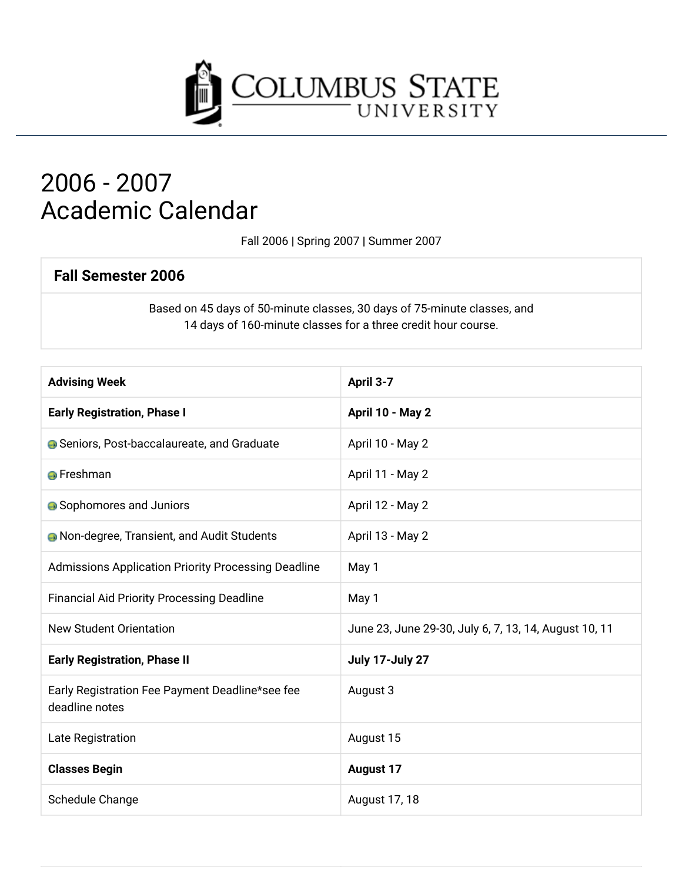

## 2006 - 2007 **Academic Calendar**

Fall 2006 | Spring 2007 | Summer 2007

#### **Fall Semester 2006**

Based on 45 days of 50-minute classes, 30 days of 75-minute classes, and 14 days of 160-minute classes for a three credit hour course.

| <b>Advising Week</b>                                              | April 3-7                                             |
|-------------------------------------------------------------------|-------------------------------------------------------|
| <b>Early Registration, Phase I</b>                                | April 10 - May 2                                      |
| <b>G</b> Seniors, Post-baccalaureate, and Graduate                | April 10 - May 2                                      |
| <b>A</b> Freshman                                                 | April 11 - May 2                                      |
| <b>A</b> Sophomores and Juniors                                   | April 12 - May 2                                      |
| <b>A</b> Non-degree, Transient, and Audit Students                | April 13 - May 2                                      |
| Admissions Application Priority Processing Deadline               | May 1                                                 |
| <b>Financial Aid Priority Processing Deadline</b>                 | May 1                                                 |
| <b>New Student Orientation</b>                                    | June 23, June 29-30, July 6, 7, 13, 14, August 10, 11 |
| <b>Early Registration, Phase II</b>                               | July 17-July 27                                       |
| Early Registration Fee Payment Deadline*see fee<br>deadline notes | August 3                                              |
| Late Registration                                                 | August 15                                             |
| <b>Classes Begin</b>                                              | <b>August 17</b>                                      |
| Schedule Change                                                   | August 17, 18                                         |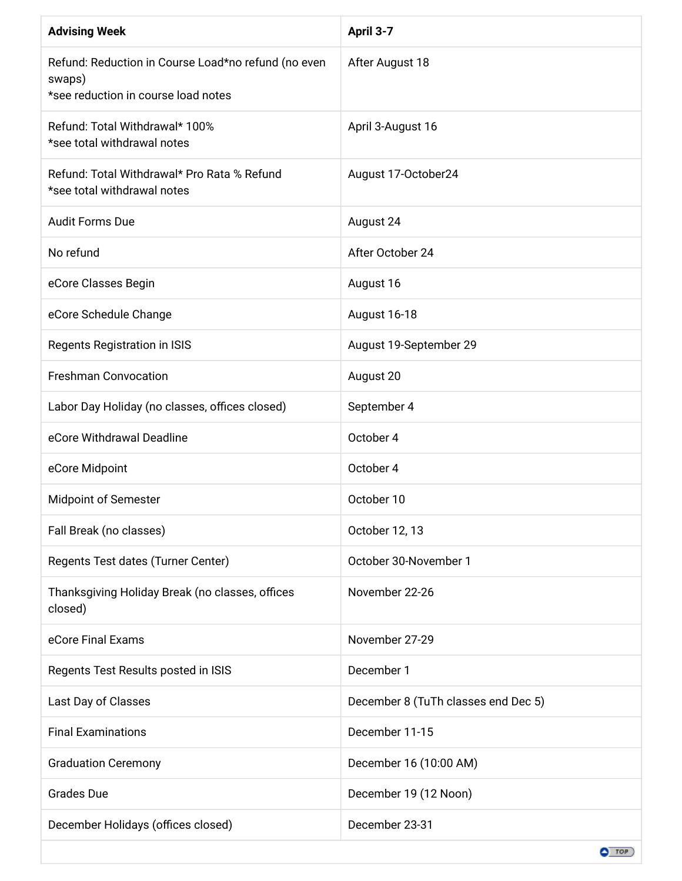| <b>Advising Week</b>                                                                                 | April 3-7                           |
|------------------------------------------------------------------------------------------------------|-------------------------------------|
| Refund: Reduction in Course Load*no refund (no even<br>swaps)<br>*see reduction in course load notes | After August 18                     |
| Refund: Total Withdrawal* 100%<br>*see total withdrawal notes                                        | April 3-August 16                   |
| Refund: Total Withdrawal* Pro Rata % Refund<br>*see total withdrawal notes                           | August 17-October24                 |
| <b>Audit Forms Due</b>                                                                               | August 24                           |
| No refund                                                                                            | After October 24                    |
| eCore Classes Begin                                                                                  | August 16                           |
| eCore Schedule Change                                                                                | August 16-18                        |
| Regents Registration in ISIS                                                                         | August 19-September 29              |
| <b>Freshman Convocation</b>                                                                          | August 20                           |
| Labor Day Holiday (no classes, offices closed)                                                       | September 4                         |
| eCore Withdrawal Deadline                                                                            | October 4                           |
| eCore Midpoint                                                                                       | October 4                           |
| Midpoint of Semester                                                                                 | October 10                          |
| Fall Break (no classes)                                                                              | October 12, 13                      |
| Regents Test dates (Turner Center)                                                                   | October 30-November 1               |
| Thanksgiving Holiday Break (no classes, offices<br>closed)                                           | November 22-26                      |
| eCore Final Exams                                                                                    | November 27-29                      |
| Regents Test Results posted in ISIS                                                                  | December 1                          |
| Last Day of Classes                                                                                  | December 8 (TuTh classes end Dec 5) |
| <b>Final Examinations</b>                                                                            | December 11-15                      |
| <b>Graduation Ceremony</b>                                                                           | December 16 (10:00 AM)              |
| <b>Grades Due</b>                                                                                    | December 19 (12 Noon)               |
| December Holidays (offices closed)                                                                   | December 23-31                      |
|                                                                                                      | $O$ TOP                             |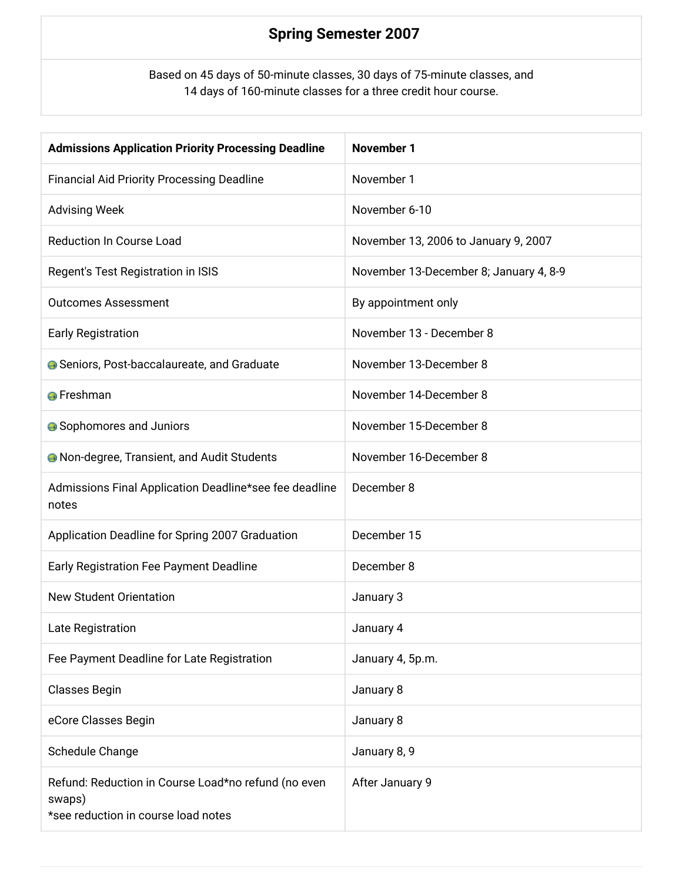### **Spring Semester 2007**

Based on 45 days of 50-minute classes, 30 days of 75-minute classes, and 14 days of 160-minute classes for a three credit hour course.

| <b>Admissions Application Priority Processing Deadline</b>                                           | <b>November 1</b>                      |
|------------------------------------------------------------------------------------------------------|----------------------------------------|
| <b>Financial Aid Priority Processing Deadline</b>                                                    | November 1                             |
| <b>Advising Week</b>                                                                                 | November 6-10                          |
| <b>Reduction In Course Load</b>                                                                      | November 13, 2006 to January 9, 2007   |
| Regent's Test Registration in ISIS                                                                   | November 13-December 8; January 4, 8-9 |
| <b>Outcomes Assessment</b>                                                                           | By appointment only                    |
| <b>Early Registration</b>                                                                            | November 13 - December 8               |
| <b>G</b> Seniors, Post-baccalaureate, and Graduate                                                   | November 13-December 8                 |
| <b>O</b> Freshman                                                                                    | November 14-December 8                 |
| • Sophomores and Juniors                                                                             | November 15-December 8                 |
| <b>A</b> Non-degree, Transient, and Audit Students                                                   | November 16-December 8                 |
| Admissions Final Application Deadline*see fee deadline<br>notes                                      | December 8                             |
| Application Deadline for Spring 2007 Graduation                                                      | December 15                            |
| Early Registration Fee Payment Deadline                                                              | December 8                             |
| <b>New Student Orientation</b>                                                                       | January 3                              |
| Late Registration                                                                                    | January 4                              |
| Fee Payment Deadline for Late Registration                                                           | January 4, 5p.m.                       |
| Classes Begin                                                                                        | January 8                              |
| eCore Classes Begin                                                                                  | January 8                              |
| Schedule Change                                                                                      | January 8, 9                           |
| Refund: Reduction in Course Load*no refund (no even<br>swaps)<br>*see reduction in course load notes | After January 9                        |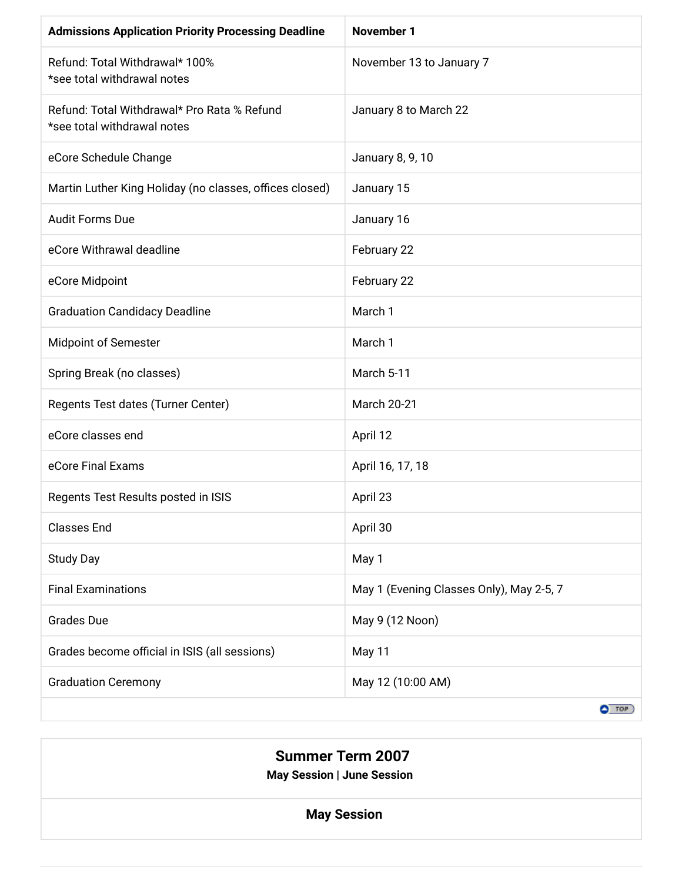| <b>Admissions Application Priority Processing Deadline</b>                 | <b>November 1</b>                        |
|----------------------------------------------------------------------------|------------------------------------------|
| Refund: Total Withdrawal* 100%<br>*see total withdrawal notes              | November 13 to January 7                 |
| Refund: Total Withdrawal* Pro Rata % Refund<br>*see total withdrawal notes | January 8 to March 22                    |
| eCore Schedule Change                                                      | January 8, 9, 10                         |
| Martin Luther King Holiday (no classes, offices closed)                    | January 15                               |
| <b>Audit Forms Due</b>                                                     | January 16                               |
| eCore Withrawal deadline                                                   | February 22                              |
| eCore Midpoint                                                             | February 22                              |
| <b>Graduation Candidacy Deadline</b>                                       | March 1                                  |
| <b>Midpoint of Semester</b>                                                | March 1                                  |
| Spring Break (no classes)                                                  | March 5-11                               |
| Regents Test dates (Turner Center)                                         | <b>March 20-21</b>                       |
| eCore classes end                                                          | April 12                                 |
| eCore Final Exams                                                          | April 16, 17, 18                         |
| Regents Test Results posted in ISIS                                        | April 23                                 |
| <b>Classes End</b>                                                         | April 30                                 |
| <b>Study Day</b>                                                           | May 1                                    |
| <b>Final Examinations</b>                                                  | May 1 (Evening Classes Only), May 2-5, 7 |
| <b>Grades Due</b>                                                          | May 9 (12 Noon)                          |
| Grades become official in ISIS (all sessions)                              | May 11                                   |
| <b>Graduation Ceremony</b>                                                 | May 12 (10:00 AM)                        |
|                                                                            | $\bullet$ TOP                            |

# **Summer Term 2007** May Session | June Session **May Session**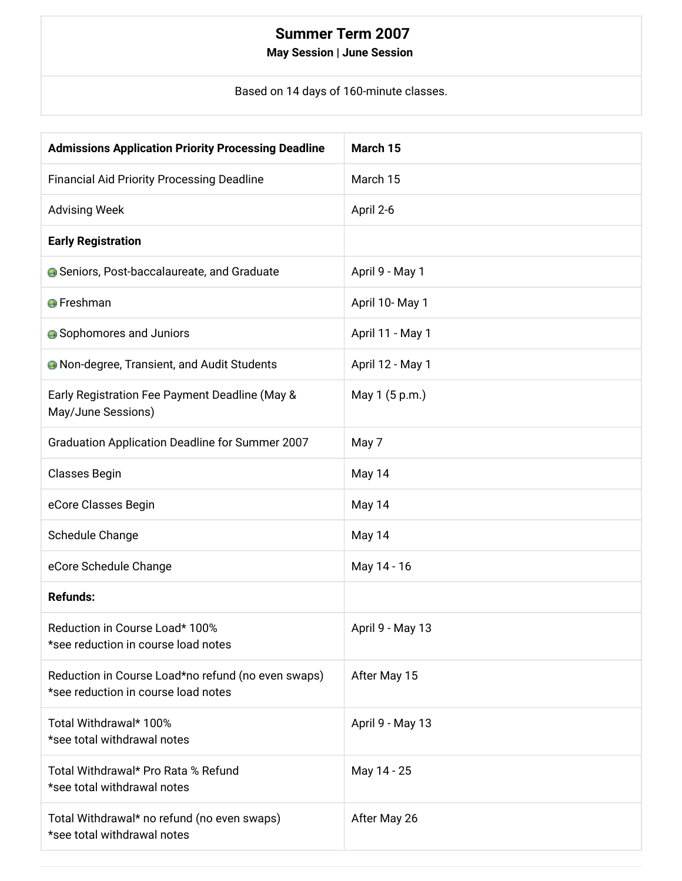### **Summer Term 2007**

#### May Session | June Session

Based on 14 days of 160-minute classes.

| <b>Admissions Application Priority Processing Deadline</b>                                | March 15         |
|-------------------------------------------------------------------------------------------|------------------|
| <b>Financial Aid Priority Processing Deadline</b>                                         | March 15         |
| <b>Advising Week</b>                                                                      | April 2-6        |
| <b>Early Registration</b>                                                                 |                  |
| <b>G</b> Seniors, Post-baccalaureate, and Graduate                                        | April 9 - May 1  |
| <b>O</b> Freshman                                                                         | April 10- May 1  |
| <b>Sophomores and Juniors</b>                                                             | April 11 - May 1 |
| <b>A</b> Non-degree, Transient, and Audit Students                                        | April 12 - May 1 |
| Early Registration Fee Payment Deadline (May &<br>May/June Sessions)                      | May 1 (5 p.m.)   |
| Graduation Application Deadline for Summer 2007                                           | May 7            |
| Classes Begin                                                                             | May 14           |
| eCore Classes Begin                                                                       | May 14           |
| Schedule Change                                                                           | May 14           |
| eCore Schedule Change                                                                     | May 14 - 16      |
| <b>Refunds:</b>                                                                           |                  |
| Reduction in Course Load* 100%<br>*see reduction in course load notes                     | April 9 - May 13 |
| Reduction in Course Load*no refund (no even swaps)<br>*see reduction in course load notes | After May 15     |
| Total Withdrawal* 100%<br>*see total withdrawal notes                                     | April 9 - May 13 |
| Total Withdrawal* Pro Rata % Refund<br>*see total withdrawal notes                        | May 14 - 25      |
| Total Withdrawal* no refund (no even swaps)<br>*see total withdrawal notes                | After May 26     |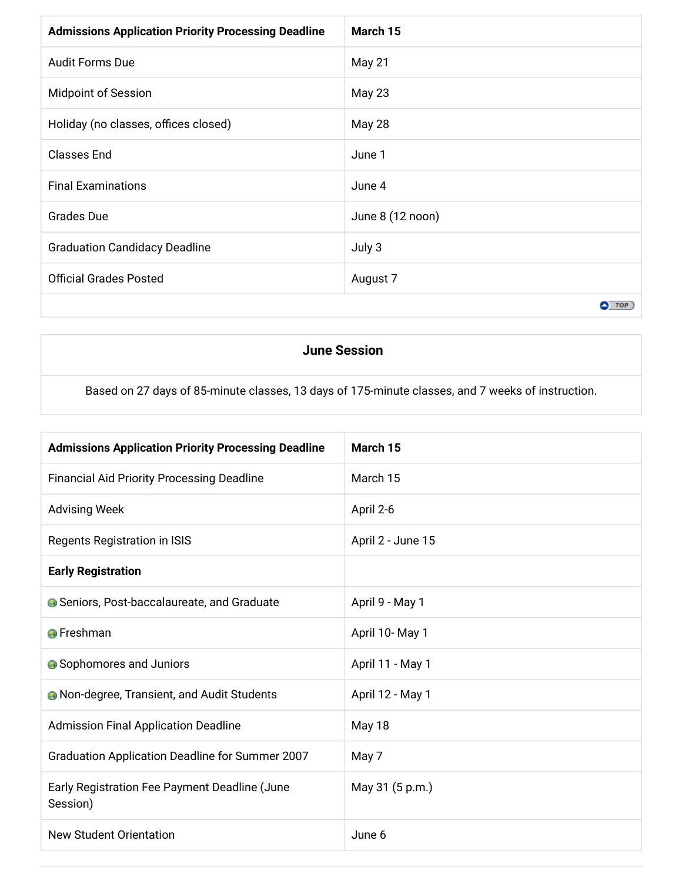| <b>Admissions Application Priority Processing Deadline</b> | March 15         |
|------------------------------------------------------------|------------------|
| <b>Audit Forms Due</b>                                     | May 21           |
| <b>Midpoint of Session</b>                                 | May 23           |
| Holiday (no classes, offices closed)                       | May 28           |
| <b>Classes End</b>                                         | June 1           |
| <b>Final Examinations</b>                                  | June 4           |
| <b>Grades Due</b>                                          | June 8 (12 noon) |
| <b>Graduation Candidacy Deadline</b>                       | July 3           |
| <b>Official Grades Posted</b>                              | August 7         |
|                                                            | $O$ TOP          |

#### **June Session**

Based on 27 days of 85-minute classes, 13 days of 175-minute classes, and 7 weeks of instruction.

| <b>Admissions Application Priority Processing Deadline</b> | March 15          |
|------------------------------------------------------------|-------------------|
| <b>Financial Aid Priority Processing Deadline</b>          | March 15          |
| <b>Advising Week</b>                                       | April 2-6         |
| Regents Registration in ISIS                               | April 2 - June 15 |
| <b>Early Registration</b>                                  |                   |
| <b>G</b> Seniors, Post-baccalaureate, and Graduate         | April 9 - May 1   |
| <b>O</b> Freshman                                          | April 10-May 1    |
| <b>A</b> Sophomores and Juniors                            | April 11 - May 1  |
| <b>A</b> Non-degree, Transient, and Audit Students         | April 12 - May 1  |
| <b>Admission Final Application Deadline</b>                | May 18            |
| Graduation Application Deadline for Summer 2007            | May 7             |
| Early Registration Fee Payment Deadline (June<br>Session)  | May 31 (5 p.m.)   |
| <b>New Student Orientation</b>                             | June 6            |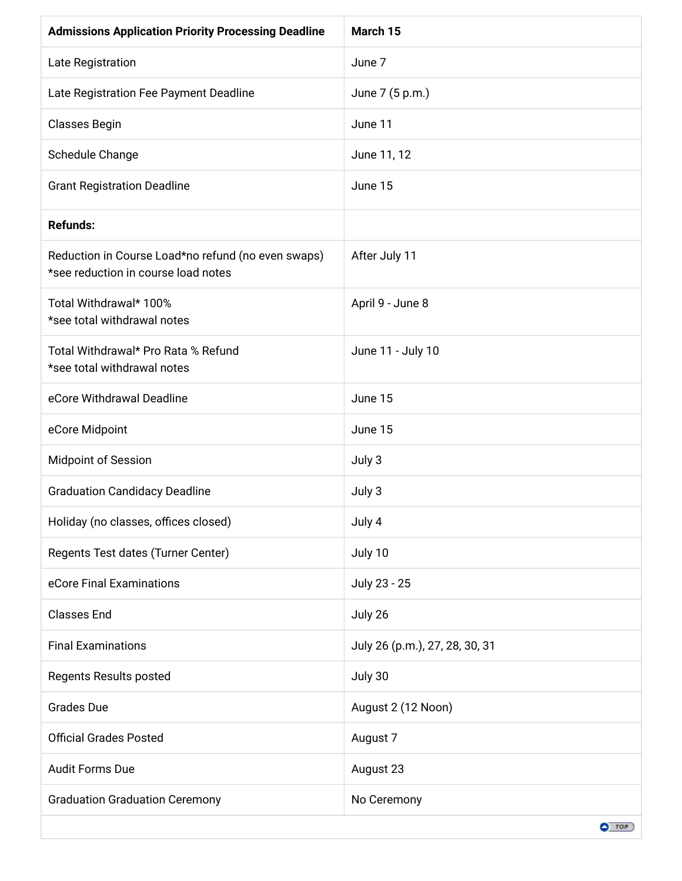| <b>Admissions Application Priority Processing Deadline</b>                                | March 15                       |
|-------------------------------------------------------------------------------------------|--------------------------------|
| Late Registration                                                                         | June 7                         |
| Late Registration Fee Payment Deadline                                                    | June 7 (5 p.m.)                |
| <b>Classes Begin</b>                                                                      | June 11                        |
| Schedule Change                                                                           | June 11, 12                    |
| <b>Grant Registration Deadline</b>                                                        | June 15                        |
| <b>Refunds:</b>                                                                           |                                |
| Reduction in Course Load*no refund (no even swaps)<br>*see reduction in course load notes | After July 11                  |
| Total Withdrawal* 100%<br>*see total withdrawal notes                                     | April 9 - June 8               |
| Total Withdrawal* Pro Rata % Refund<br>*see total withdrawal notes                        | June 11 - July 10              |
| eCore Withdrawal Deadline                                                                 | June 15                        |
| eCore Midpoint                                                                            | June 15                        |
| <b>Midpoint of Session</b>                                                                | July 3                         |
| <b>Graduation Candidacy Deadline</b>                                                      | July 3                         |
| Holiday (no classes, offices closed)                                                      | July 4                         |
| Regents Test dates (Turner Center)                                                        | July 10                        |
| eCore Final Examinations                                                                  | July 23 - 25                   |
| <b>Classes End</b>                                                                        | July 26                        |
| <b>Final Examinations</b>                                                                 | July 26 (p.m.), 27, 28, 30, 31 |
| Regents Results posted                                                                    | July 30                        |
| <b>Grades Due</b>                                                                         | August 2 (12 Noon)             |
| <b>Official Grades Posted</b>                                                             | August 7                       |
| <b>Audit Forms Due</b>                                                                    | August 23                      |
| <b>Graduation Graduation Ceremony</b>                                                     | No Ceremony                    |
|                                                                                           | $O$ TOP                        |